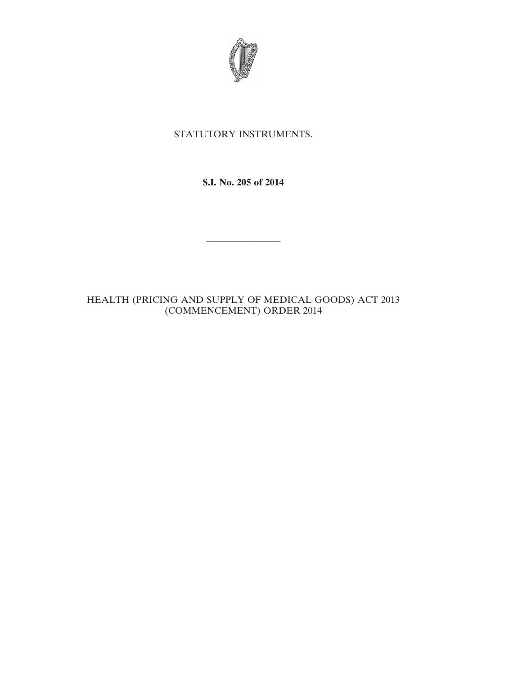

## STATUTORY INSTRUMENTS.

**S.I. No. 205 of 2014**

————————

## HEALTH (PRICING AND SUPPLY OF MEDICAL GOODS) ACT 2013 (COMMENCEMENT) ORDER 2014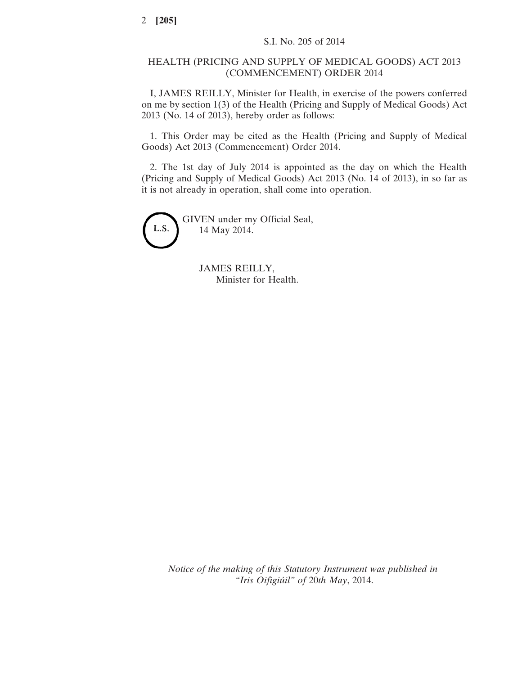## HEALTH (PRICING AND SUPPLY OF MEDICAL GOODS) ACT 2013 (COMMENCEMENT) ORDER 2014

I, JAMES REILLY, Minister for Health, in exercise of the powers conferred on me by section 1(3) of the Health (Pricing and Supply of Medical Goods) Act 2013 (No. 14 of 2013), hereby order as follows:

1. This Order may be cited as the Health (Pricing and Supply of Medical Goods) Act 2013 (Commencement) Order 2014.

2. The 1st day of July 2014 is appointed as the day on which the Health (Pricing and Supply of Medical Goods) Act 2013 (No. 14 of 2013), in so far as it is not already in operation, shall come into operation.



GIVEN under my Official Seal, 14 May 2014.

> JAMES REILLY, Minister for Health.

*Notice of the making of this Statutory Instrument was published in "Iris Oifigiúil" of* 20*th May*, 2014.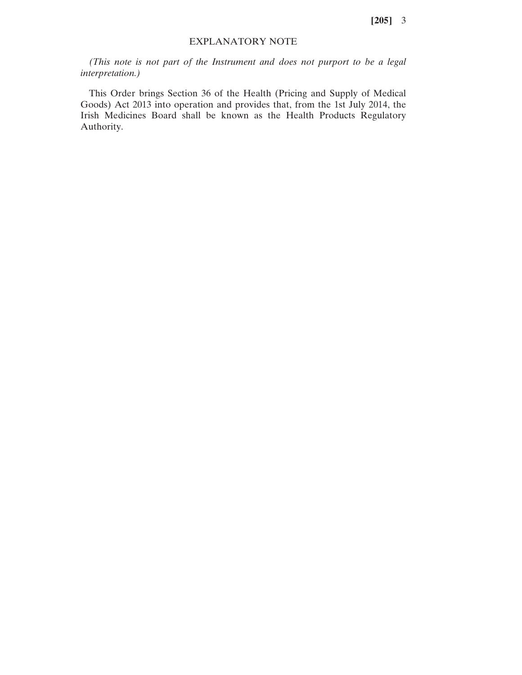**[205]** 3

## EXPLANATORY NOTE

*(This note is not part of the Instrument and does not purport to be a legal interpretation.)*

This Order brings Section 36 of the Health (Pricing and Supply of Medical Goods) Act 2013 into operation and provides that, from the 1st July 2014, the Irish Medicines Board shall be known as the Health Products Regulatory Authority.